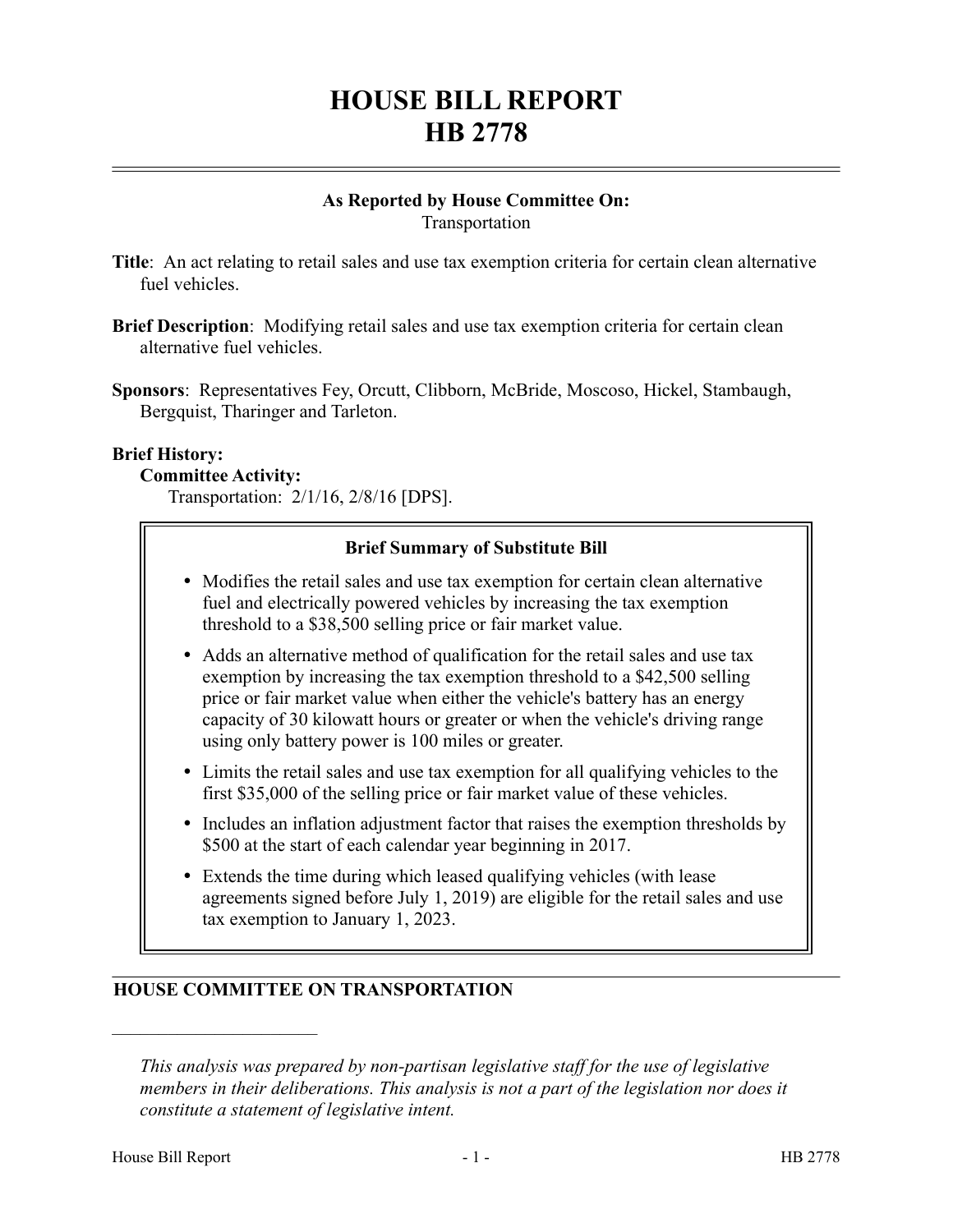# **HOUSE BILL REPORT HB 2778**

## **As Reported by House Committee On:** Transportation

- **Title**: An act relating to retail sales and use tax exemption criteria for certain clean alternative fuel vehicles.
- **Brief Description**: Modifying retail sales and use tax exemption criteria for certain clean alternative fuel vehicles.
- **Sponsors**: Representatives Fey, Orcutt, Clibborn, McBride, Moscoso, Hickel, Stambaugh, Bergquist, Tharinger and Tarleton.

#### **Brief History:**

#### **Committee Activity:**

Transportation: 2/1/16, 2/8/16 [DPS].

# **Brief Summary of Substitute Bill**

- Modifies the retail sales and use tax exemption for certain clean alternative fuel and electrically powered vehicles by increasing the tax exemption threshold to a \$38,500 selling price or fair market value.
- Adds an alternative method of qualification for the retail sales and use tax exemption by increasing the tax exemption threshold to a \$42,500 selling price or fair market value when either the vehicle's battery has an energy capacity of 30 kilowatt hours or greater or when the vehicle's driving range using only battery power is 100 miles or greater.
- Limits the retail sales and use tax exemption for all qualifying vehicles to the first \$35,000 of the selling price or fair market value of these vehicles.
- Includes an inflation adjustment factor that raises the exemption thresholds by \$500 at the start of each calendar year beginning in 2017.
- Extends the time during which leased qualifying vehicles (with lease agreements signed before July 1, 2019) are eligible for the retail sales and use tax exemption to January 1, 2023.

# **HOUSE COMMITTEE ON TRANSPORTATION**

––––––––––––––––––––––

*This analysis was prepared by non-partisan legislative staff for the use of legislative members in their deliberations. This analysis is not a part of the legislation nor does it constitute a statement of legislative intent.*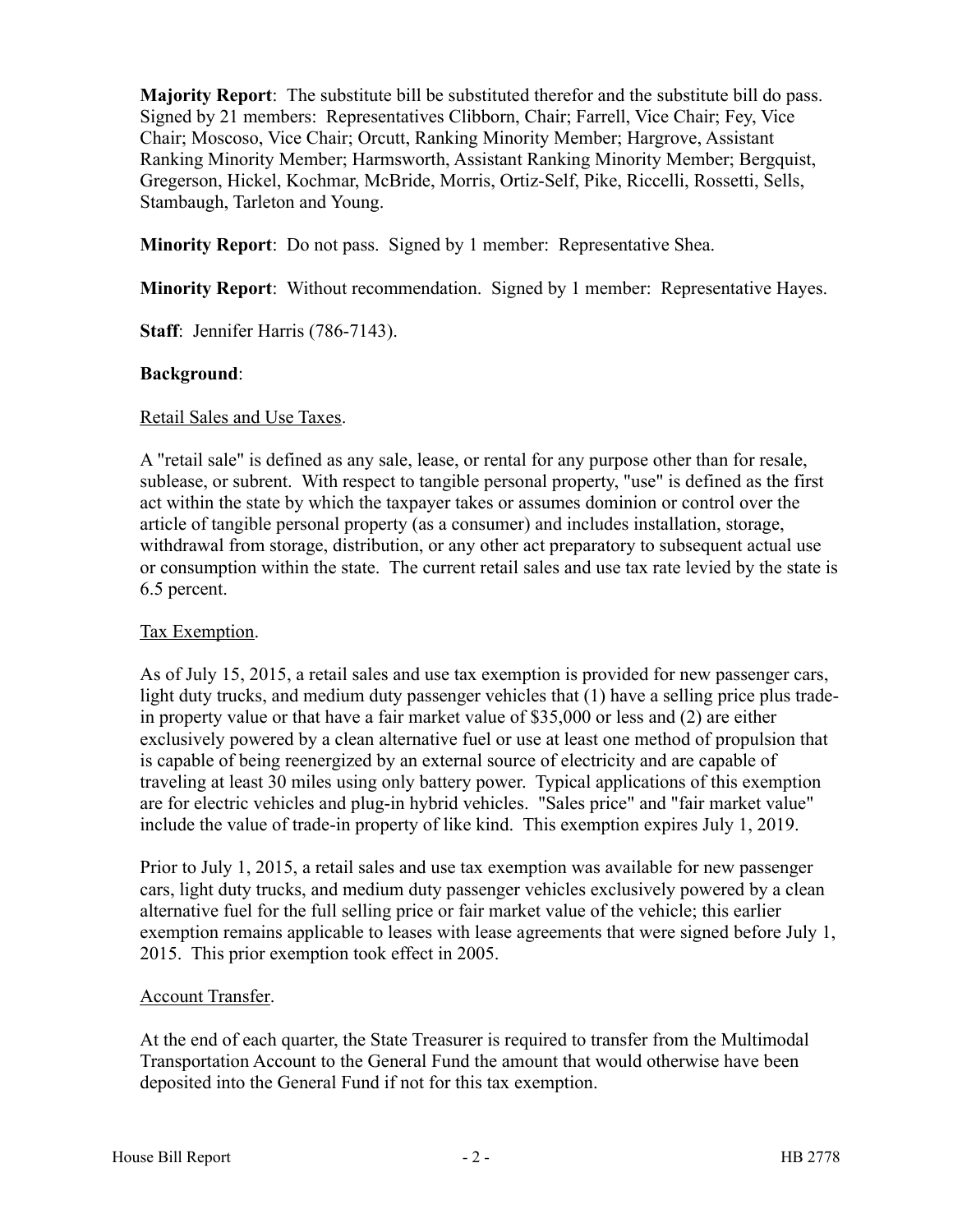**Majority Report**: The substitute bill be substituted therefor and the substitute bill do pass. Signed by 21 members: Representatives Clibborn, Chair; Farrell, Vice Chair; Fey, Vice Chair; Moscoso, Vice Chair; Orcutt, Ranking Minority Member; Hargrove, Assistant Ranking Minority Member; Harmsworth, Assistant Ranking Minority Member; Bergquist, Gregerson, Hickel, Kochmar, McBride, Morris, Ortiz-Self, Pike, Riccelli, Rossetti, Sells, Stambaugh, Tarleton and Young.

**Minority Report**: Do not pass. Signed by 1 member: Representative Shea.

**Minority Report**: Without recommendation. Signed by 1 member: Representative Hayes.

**Staff**: Jennifer Harris (786-7143).

#### **Background**:

#### Retail Sales and Use Taxes.

A "retail sale" is defined as any sale, lease, or rental for any purpose other than for resale, sublease, or subrent. With respect to tangible personal property, "use" is defined as the first act within the state by which the taxpayer takes or assumes dominion or control over the article of tangible personal property (as a consumer) and includes installation, storage, withdrawal from storage, distribution, or any other act preparatory to subsequent actual use or consumption within the state. The current retail sales and use tax rate levied by the state is 6.5 percent.

# Tax Exemption.

As of July 15, 2015, a retail sales and use tax exemption is provided for new passenger cars, light duty trucks, and medium duty passenger vehicles that (1) have a selling price plus tradein property value or that have a fair market value of \$35,000 or less and (2) are either exclusively powered by a clean alternative fuel or use at least one method of propulsion that is capable of being reenergized by an external source of electricity and are capable of traveling at least 30 miles using only battery power. Typical applications of this exemption are for electric vehicles and plug-in hybrid vehicles. "Sales price" and "fair market value" include the value of trade-in property of like kind. This exemption expires July 1, 2019.

Prior to July 1, 2015, a retail sales and use tax exemption was available for new passenger cars, light duty trucks, and medium duty passenger vehicles exclusively powered by a clean alternative fuel for the full selling price or fair market value of the vehicle; this earlier exemption remains applicable to leases with lease agreements that were signed before July 1, 2015. This prior exemption took effect in 2005.

# Account Transfer.

At the end of each quarter, the State Treasurer is required to transfer from the Multimodal Transportation Account to the General Fund the amount that would otherwise have been deposited into the General Fund if not for this tax exemption.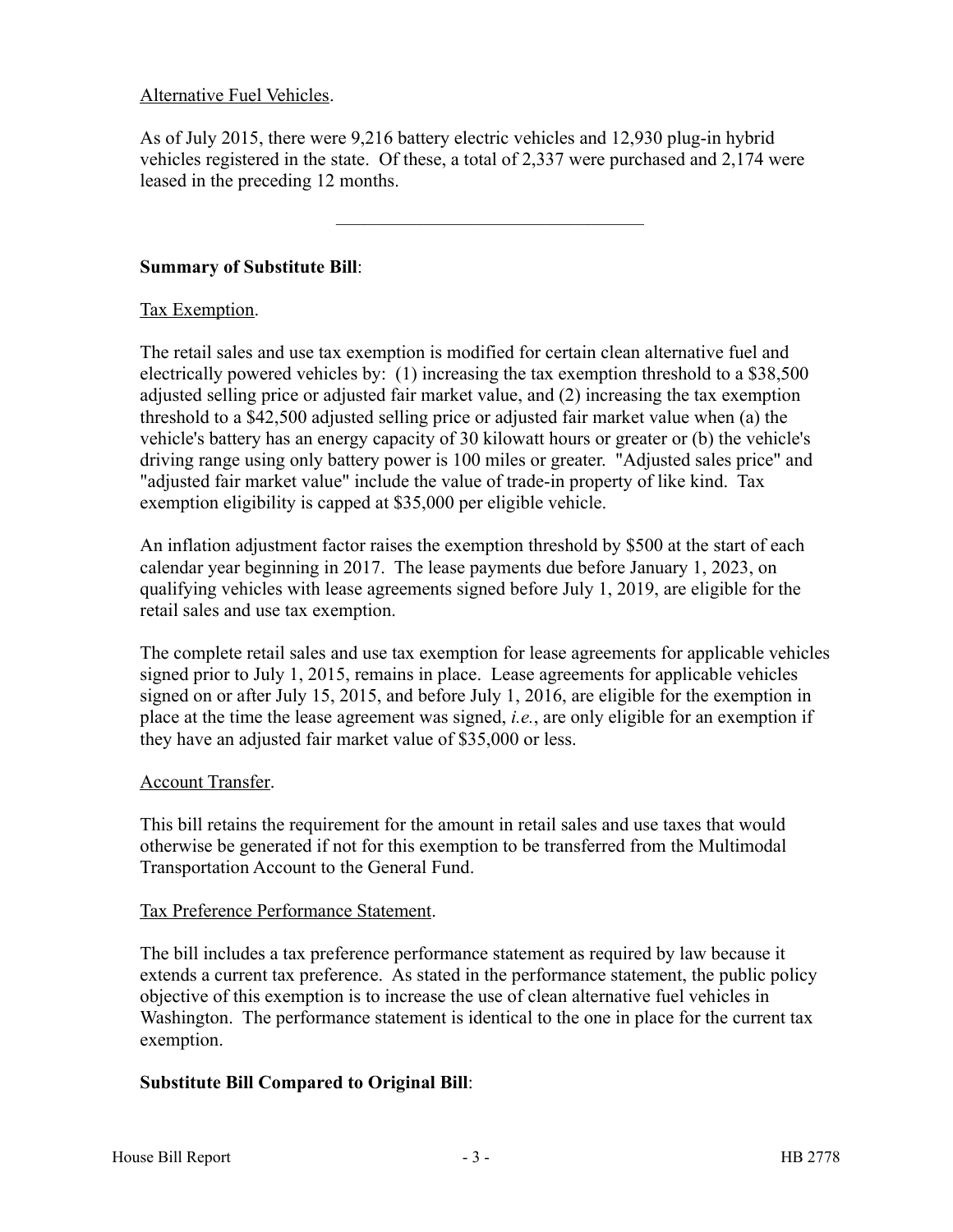## Alternative Fuel Vehicles.

As of July 2015, there were 9,216 battery electric vehicles and 12,930 plug-in hybrid vehicles registered in the state. Of these, a total of 2,337 were purchased and 2,174 were leased in the preceding 12 months.

–––––––––––––––––––––––––––––––––

#### **Summary of Substitute Bill**:

#### Tax Exemption.

The retail sales and use tax exemption is modified for certain clean alternative fuel and electrically powered vehicles by: (1) increasing the tax exemption threshold to a \$38,500 adjusted selling price or adjusted fair market value, and (2) increasing the tax exemption threshold to a \$42,500 adjusted selling price or adjusted fair market value when (a) the vehicle's battery has an energy capacity of 30 kilowatt hours or greater or (b) the vehicle's driving range using only battery power is 100 miles or greater. "Adjusted sales price" and "adjusted fair market value" include the value of trade-in property of like kind. Tax exemption eligibility is capped at \$35,000 per eligible vehicle.

An inflation adjustment factor raises the exemption threshold by \$500 at the start of each calendar year beginning in 2017. The lease payments due before January 1, 2023, on qualifying vehicles with lease agreements signed before July 1, 2019, are eligible for the retail sales and use tax exemption.

The complete retail sales and use tax exemption for lease agreements for applicable vehicles signed prior to July 1, 2015, remains in place. Lease agreements for applicable vehicles signed on or after July 15, 2015, and before July 1, 2016, are eligible for the exemption in place at the time the lease agreement was signed, *i.e.*, are only eligible for an exemption if they have an adjusted fair market value of \$35,000 or less.

#### Account Transfer.

This bill retains the requirement for the amount in retail sales and use taxes that would otherwise be generated if not for this exemption to be transferred from the Multimodal Transportation Account to the General Fund.

#### Tax Preference Performance Statement.

The bill includes a tax preference performance statement as required by law because it extends a current tax preference. As stated in the performance statement, the public policy objective of this exemption is to increase the use of clean alternative fuel vehicles in Washington. The performance statement is identical to the one in place for the current tax exemption.

# **Substitute Bill Compared to Original Bill**: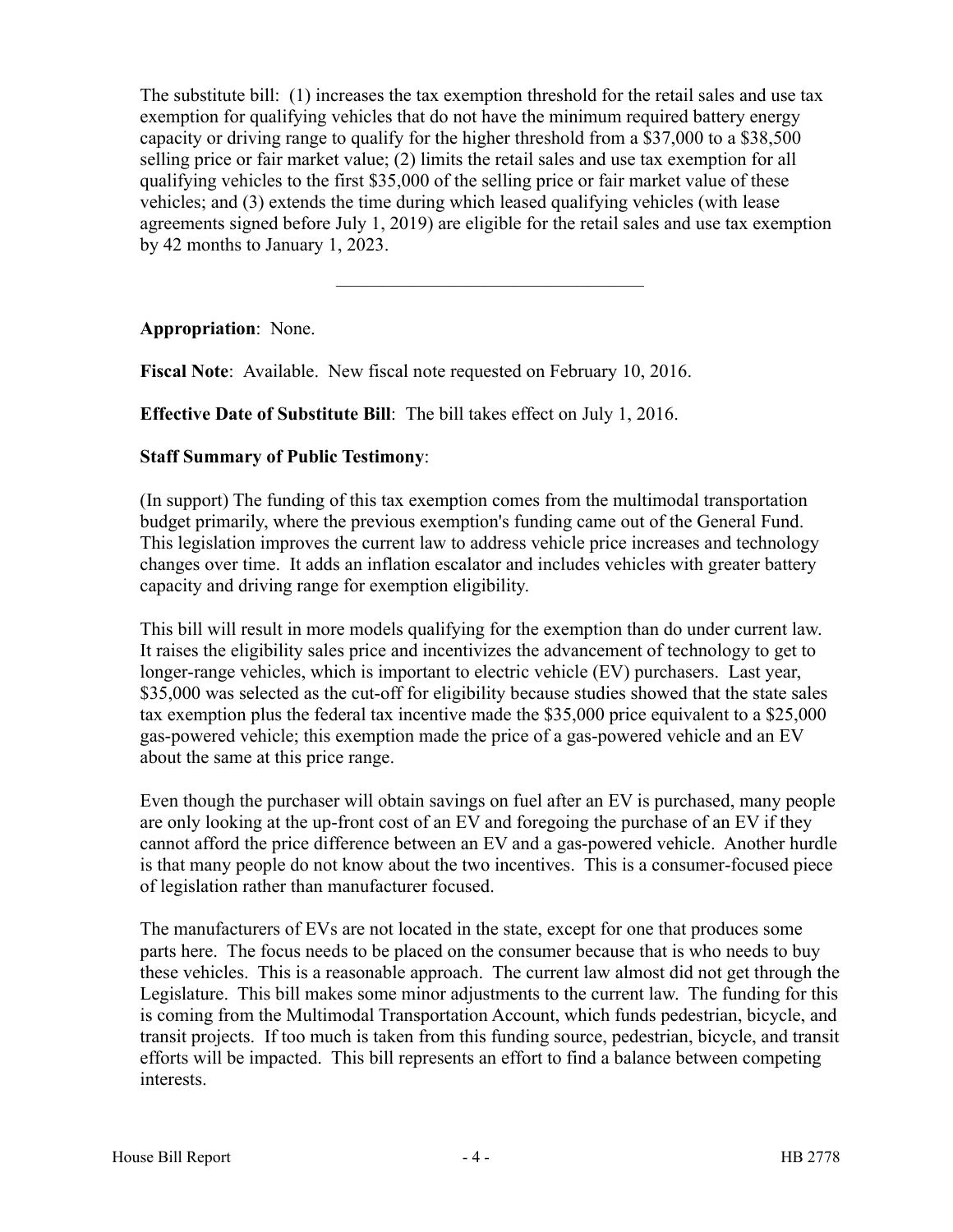The substitute bill: (1) increases the tax exemption threshold for the retail sales and use tax exemption for qualifying vehicles that do not have the minimum required battery energy capacity or driving range to qualify for the higher threshold from a \$37,000 to a \$38,500 selling price or fair market value; (2) limits the retail sales and use tax exemption for all qualifying vehicles to the first \$35,000 of the selling price or fair market value of these vehicles; and (3) extends the time during which leased qualifying vehicles (with lease agreements signed before July 1, 2019) are eligible for the retail sales and use tax exemption by 42 months to January 1, 2023.

–––––––––––––––––––––––––––––––––

**Appropriation**: None.

**Fiscal Note**: Available. New fiscal note requested on February 10, 2016.

**Effective Date of Substitute Bill**: The bill takes effect on July 1, 2016.

# **Staff Summary of Public Testimony**:

(In support) The funding of this tax exemption comes from the multimodal transportation budget primarily, where the previous exemption's funding came out of the General Fund. This legislation improves the current law to address vehicle price increases and technology changes over time. It adds an inflation escalator and includes vehicles with greater battery capacity and driving range for exemption eligibility.

This bill will result in more models qualifying for the exemption than do under current law. It raises the eligibility sales price and incentivizes the advancement of technology to get to longer-range vehicles, which is important to electric vehicle (EV) purchasers. Last year, \$35,000 was selected as the cut-off for eligibility because studies showed that the state sales tax exemption plus the federal tax incentive made the \$35,000 price equivalent to a \$25,000 gas-powered vehicle; this exemption made the price of a gas-powered vehicle and an EV about the same at this price range.

Even though the purchaser will obtain savings on fuel after an EV is purchased, many people are only looking at the up-front cost of an EV and foregoing the purchase of an EV if they cannot afford the price difference between an EV and a gas-powered vehicle. Another hurdle is that many people do not know about the two incentives. This is a consumer-focused piece of legislation rather than manufacturer focused.

The manufacturers of EVs are not located in the state, except for one that produces some parts here. The focus needs to be placed on the consumer because that is who needs to buy these vehicles. This is a reasonable approach. The current law almost did not get through the Legislature. This bill makes some minor adjustments to the current law. The funding for this is coming from the Multimodal Transportation Account, which funds pedestrian, bicycle, and transit projects. If too much is taken from this funding source, pedestrian, bicycle, and transit efforts will be impacted. This bill represents an effort to find a balance between competing interests.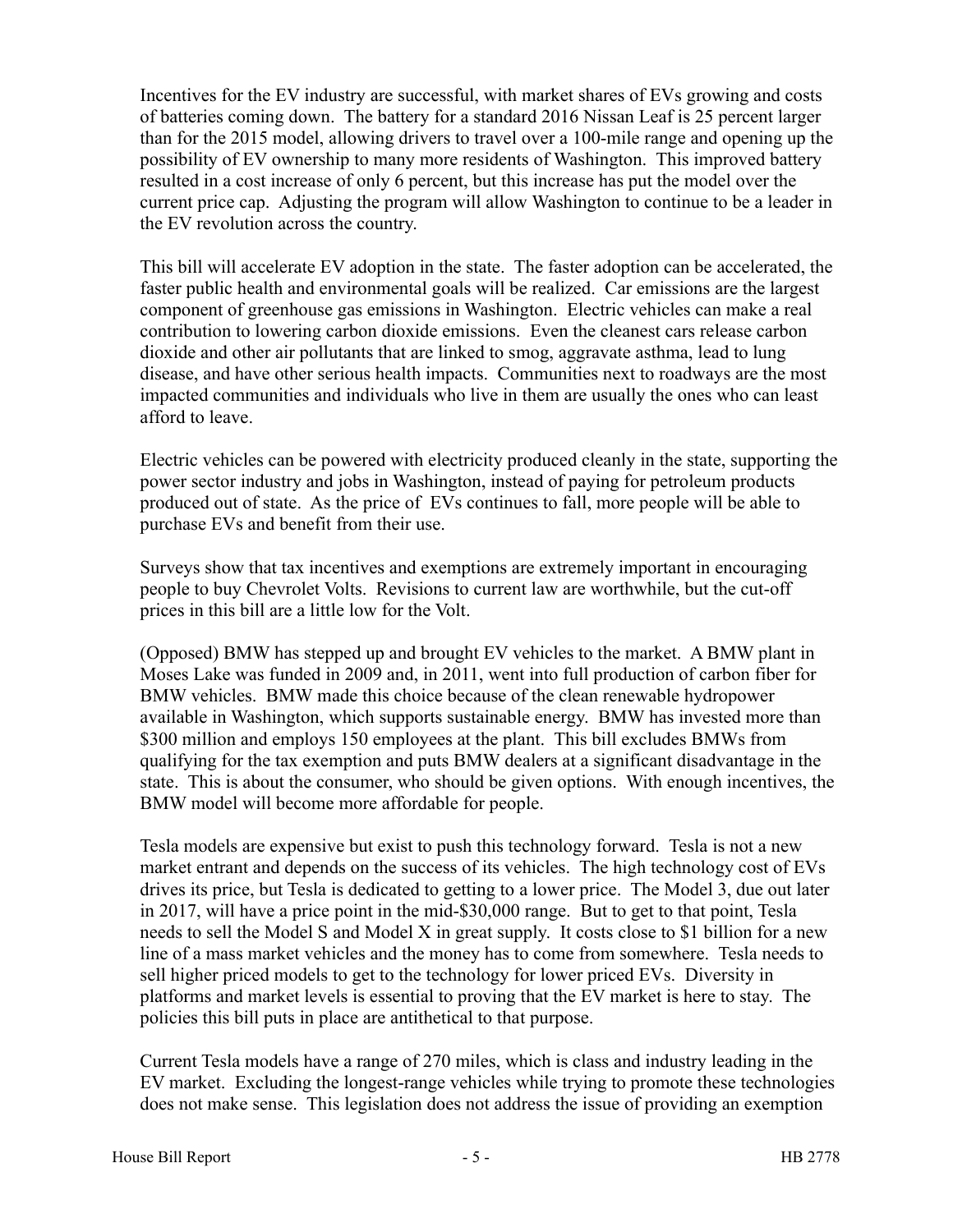Incentives for the EV industry are successful, with market shares of EVs growing and costs of batteries coming down. The battery for a standard 2016 Nissan Leaf is 25 percent larger than for the 2015 model, allowing drivers to travel over a 100-mile range and opening up the possibility of EV ownership to many more residents of Washington. This improved battery resulted in a cost increase of only 6 percent, but this increase has put the model over the current price cap. Adjusting the program will allow Washington to continue to be a leader in the EV revolution across the country.

This bill will accelerate EV adoption in the state. The faster adoption can be accelerated, the faster public health and environmental goals will be realized. Car emissions are the largest component of greenhouse gas emissions in Washington. Electric vehicles can make a real contribution to lowering carbon dioxide emissions. Even the cleanest cars release carbon dioxide and other air pollutants that are linked to smog, aggravate asthma, lead to lung disease, and have other serious health impacts. Communities next to roadways are the most impacted communities and individuals who live in them are usually the ones who can least afford to leave.

Electric vehicles can be powered with electricity produced cleanly in the state, supporting the power sector industry and jobs in Washington, instead of paying for petroleum products produced out of state. As the price of EVs continues to fall, more people will be able to purchase EVs and benefit from their use.

Surveys show that tax incentives and exemptions are extremely important in encouraging people to buy Chevrolet Volts. Revisions to current law are worthwhile, but the cut-off prices in this bill are a little low for the Volt.

(Opposed) BMW has stepped up and brought EV vehicles to the market. A BMW plant in Moses Lake was funded in 2009 and, in 2011, went into full production of carbon fiber for BMW vehicles. BMW made this choice because of the clean renewable hydropower available in Washington, which supports sustainable energy. BMW has invested more than \$300 million and employs 150 employees at the plant. This bill excludes BMWs from qualifying for the tax exemption and puts BMW dealers at a significant disadvantage in the state. This is about the consumer, who should be given options. With enough incentives, the BMW model will become more affordable for people.

Tesla models are expensive but exist to push this technology forward. Tesla is not a new market entrant and depends on the success of its vehicles. The high technology cost of EVs drives its price, but Tesla is dedicated to getting to a lower price. The Model 3, due out later in 2017, will have a price point in the mid-\$30,000 range. But to get to that point, Tesla needs to sell the Model S and Model X in great supply. It costs close to \$1 billion for a new line of a mass market vehicles and the money has to come from somewhere. Tesla needs to sell higher priced models to get to the technology for lower priced EVs. Diversity in platforms and market levels is essential to proving that the EV market is here to stay. The policies this bill puts in place are antithetical to that purpose.

Current Tesla models have a range of 270 miles, which is class and industry leading in the EV market. Excluding the longest-range vehicles while trying to promote these technologies does not make sense. This legislation does not address the issue of providing an exemption